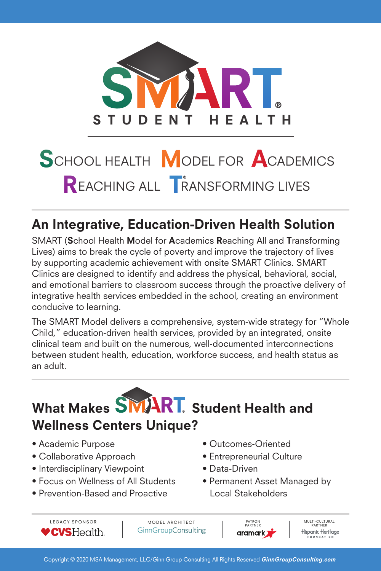

# SCHOOL HEALTH MODEL FOR ACADEMICS REACHING ALL **TRANSFORMING LIVES**

# An Integrative, Education-Driven Health Solution

SMART (School Health Model for Academics Reaching All and Transforming Lives) aims to break the cycle of poverty and improve the trajectory of lives by supporting academic achievement with onsite SMART Clinics. SMART Clinics are designed to identify and address the physical, behavioral, social, and emotional barriers to classroom success through the proactive delivery of integrative health services embedded in the school, creating an environment conducive to learning.

The SMART Model delivers a comprehensive, system-wide strategy for "Whole Child," education-driven health services, provided by an integrated, onsite clinical team and built on the numerous, well-documented interconnections between student health, education, workforce success, and health status as an adult.

What Makes **SMART**. Student Health and

## Wellness Centers Unique?

- Academic Purpose
- Collaborative Approach
- $\bullet$  Interdisciplinary Viewpoint
- Focus on Wellness of All Students
- Prevention-Based and Proactive Lo
- Outcomes-Oriented
- Entrepreneurial Culture
- Data-Driven
	- Permanent Asset Managed by Local Stakeholders

LEGACY SPONSOR **VCVSHealth.** 

MODEL ARCHITECT PARTNER PARTNER